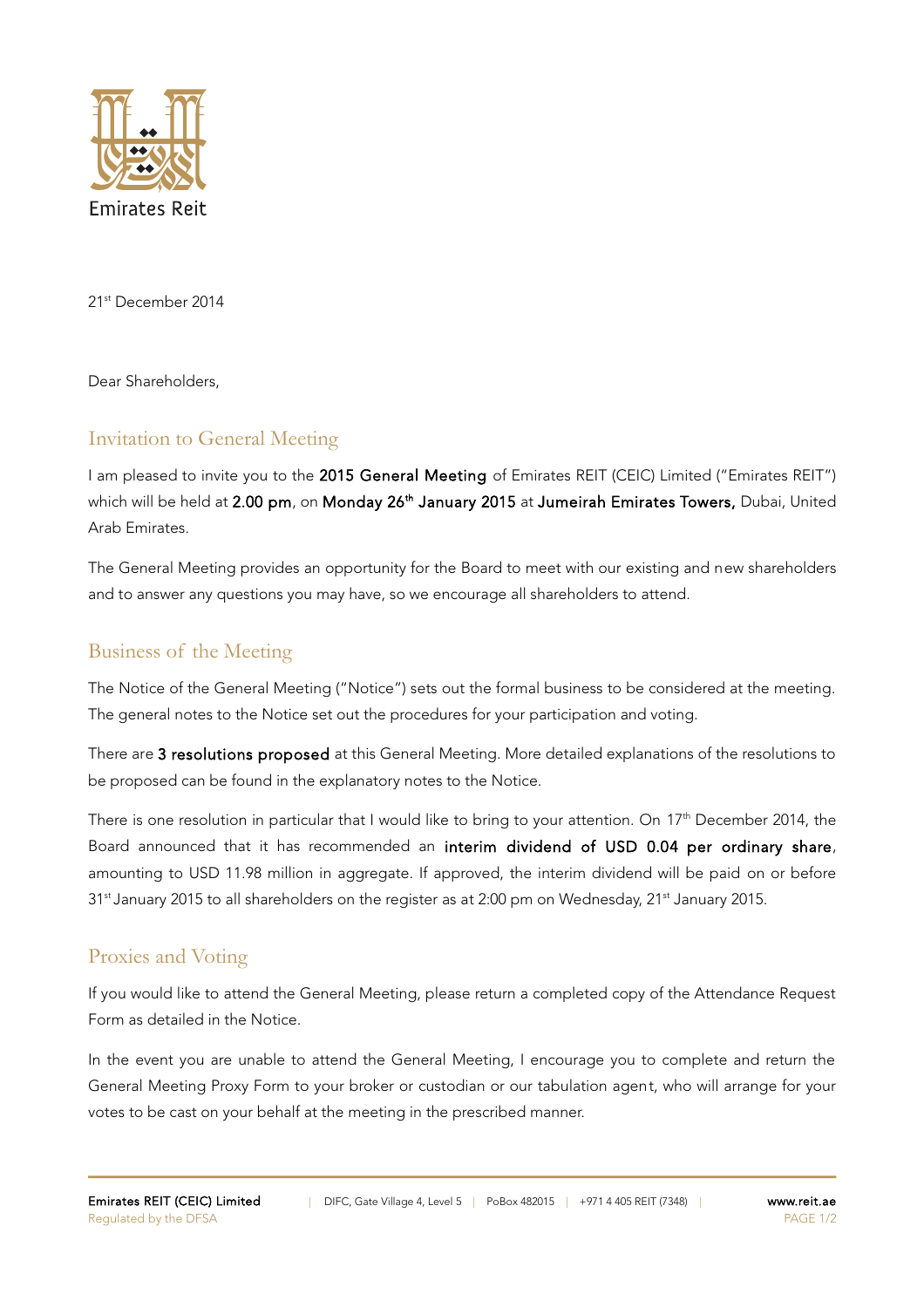

21st December 2014

Dear Shareholders,

## Invitation to General Meeting

I am pleased to invite you to the 2015 General Meeting of Emirates REIT (CEIC) Limited ("Emirates REIT") which will be held at 2.00 pm, on Monday 26<sup>th</sup> January 2015 at Jumeirah Emirates Towers, Dubai, United Arab Emirates.

The General Meeting provides an opportunity for the Board to meet with our existing and new shareholders and to answer any questions you may have, so we encourage all shareholders to attend.

## Business of the Meeting

The Notice of the General Meeting ("Notice") sets out the formal business to be considered at the meeting. The general notes to the Notice set out the procedures for your participation and voting.

There are 3 resolutions proposed at this General Meeting. More detailed explanations of the resolutions to be proposed can be found in the explanatory notes to the Notice.

There is one resolution in particular that I would like to bring to your attention. On 17<sup>th</sup> December 2014, the Board announced that it has recommended an interim dividend of USD 0.04 per ordinary share, amounting to USD 11.98 million in aggregate. If approved, the interim dividend will be paid on or before 31<sup>st</sup> January 2015 to all shareholders on the register as at 2:00 pm on Wednesday, 21<sup>st</sup> January 2015.

## Proxies and Voting

If you would like to attend the General Meeting, please return a completed copy of the Attendance Request Form as detailed in the Notice.

In the event you are unable to attend the General Meeting, I encourage you to complete and return the General Meeting Proxy Form to your broker or custodian or our tabulation agent, who will arrange for your votes to be cast on your behalf at the meeting in the prescribed manner.